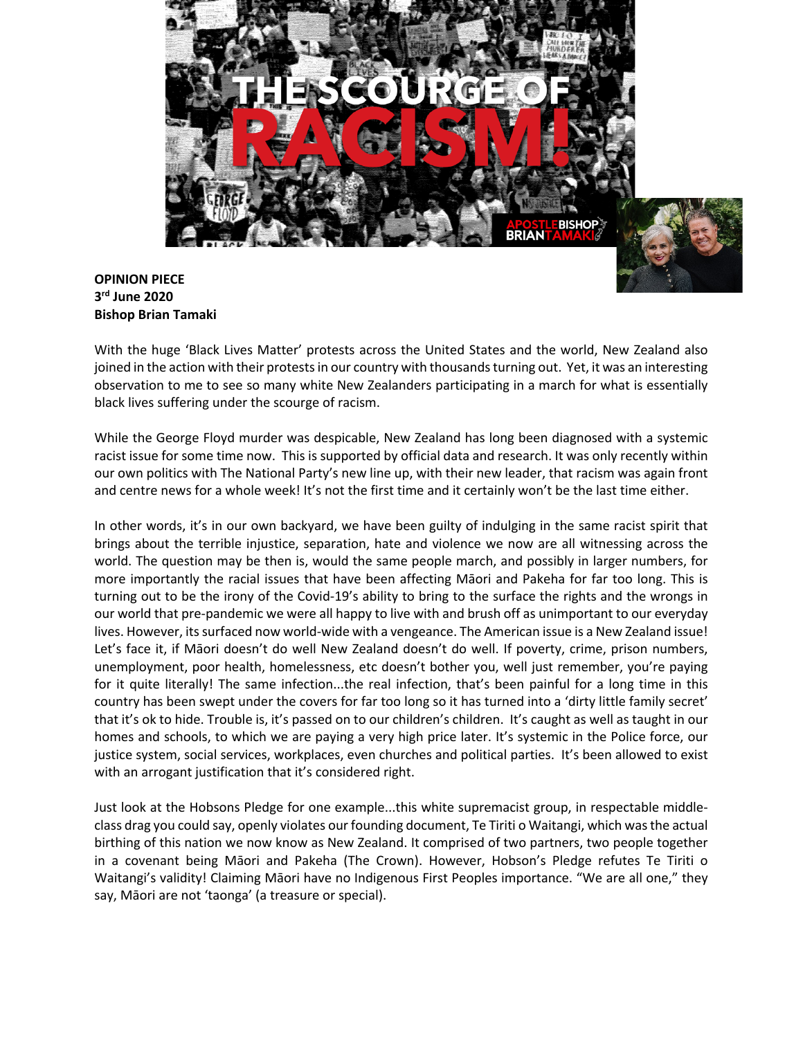

## **OPINION PIECE 3rd June 2020 Bishop Brian Tamaki**

With the huge 'Black Lives Matter' protests across the United States and the world, New Zealand also joined in the action with their protests in our country with thousands turning out. Yet, it was an interesting observation to me to see so many white New Zealanders participating in a march for what is essentially black lives suffering under the scourge of racism.

While the George Floyd murder was despicable, New Zealand has long been diagnosed with a systemic racist issue for some time now. This is supported by official data and research. It was only recently within our own politics with The National Party's new line up, with their new leader, that racism was again front and centre news for a whole week! It's not the first time and it certainly won't be the last time either.

In other words, it's in our own backyard, we have been guilty of indulging in the same racist spirit that brings about the terrible injustice, separation, hate and violence we now are all witnessing across the world. The question may be then is, would the same people march, and possibly in larger numbers, for more importantly the racial issues that have been affecting Māori and Pakeha for far too long. This is turning out to be the irony of the Covid-19's ability to bring to the surface the rights and the wrongs in our world that pre-pandemic we were all happy to live with and brush off as unimportant to our everyday lives. However, its surfaced now world-wide with a vengeance. The American issue is a New Zealand issue! Let's face it, if Māori doesn't do well New Zealand doesn't do well. If poverty, crime, prison numbers, unemployment, poor health, homelessness, etc doesn't bother you, well just remember, you're paying for it quite literally! The same infection...the real infection, that's been painful for a long time in this country has been swept under the covers for far too long so it has turned into a 'dirty little family secret' that it's ok to hide. Trouble is, it's passed on to our children's children. It's caught as well as taught in our homes and schools, to which we are paying a very high price later. It's systemic in the Police force, our justice system, social services, workplaces, even churches and political parties. It's been allowed to exist with an arrogant justification that it's considered right.

Just look at the Hobsons Pledge for one example...this white supremacist group, in respectable middleclass drag you could say, openly violates our founding document, Te Tiriti o Waitangi, which was the actual birthing of this nation we now know as New Zealand. It comprised of two partners, two people together in a covenant being Māori and Pakeha (The Crown). However, Hobson's Pledge refutes Te Tiriti o Waitangi's validity! Claiming Māori have no Indigenous First Peoples importance. "We are all one," they say, Māori are not 'taonga' (a treasure or special).